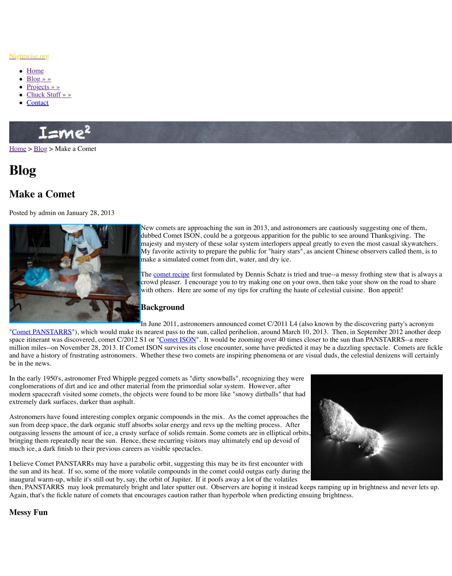

 $N_{\rm C}$  comets are approaching the sun in 2013, dubbed Comet ISON, could be a gorgeous ap majesty and mystery of these solar system interloperation My favorite activity to prepare the public for make a simulated comet from dirt, water, and

The comet recipe first formulated by Dennis Schatz is tried and truecrowd pleaser. I encourage you to try making with others. Here are some of my tips for cra

### **Background**

In June 2011, astronomers announced comet (also known by the discovering party)

"Com[et PANS](http://www.nightwise.org/contact/)TARRS"), which would make its nearest pass to the sun, called perihelion, around March 10, 2013. Then, in September 2013. Then, in September 2013. Then, in September 2013. Then, in September 2013 and Definition. space itinerant was discovered, comet C/2012 S1 or "Comet ISON". It would be zooming o million miles--on November 28, 2013. If Comet ISON survives its close encounter, some ha and have a history of frustrating astronomers. Whether these two comets are inspiring phenomena or are visual du be in the news.

[In the](http://www.nightwise.org/) e[arly 19](http://www.nightwise.org/blog/)50's, astronomer Fred Whipple pegged comets as "dirty snowballs", recognizing the early 1950's, astronomer Fred Whipple pegged comets as "dirty snowballs", recognizing the conglomerations of dirt and ice and other material from the primordial solar system. However, modern spacecraft visited some comets, the objects were found to be more like "snowy dirtballs" extremely dark surfaces, darker than asphalt.

Astronomers have found interesting complex organic compounds in the mix. As the comet a sun from deep space, the dark organic stuff absorbs solar energy and revs up the melting pro outgassing lessens the amount of ice, a crusty surface of solids remain. Some comets are in  $\epsilon$ bringing them repeatedly near the sun. Hence, these recurring visitors may ultimately end up much ice, a dark finish to their previous careers as visible spectacles.

I believe Comet PANSTARRs may have a parabolic orbit, suggesting this may be its first energy the sun and its heat. If so, some of the more volatile compounds in the comet could outgas early during the sum inaugural warm-up, while it's still out by, say, the orbit of Jupiter. If it poofs away a lot of the then, PANSTARRS may look prematurely bright and later sputter out. Observers are hoping Again, that's the fickle nature of comets that encou[rages caution](http://solarsystem.nasa.gov/docs/Comet_Cooking.pdf) rather than hyperbole when

## **Messy Fun**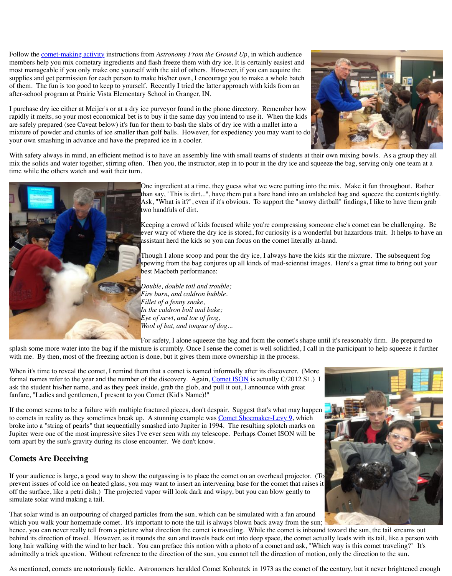

Keeping a crowd of kids focused while you're compressing someone else's comet can be challenging. Be ever wary of where the dry ice is stored, for c assistant herd the kids so you can focus on the

Though I alone scoop and pour the dry ice, I all spewing from the bag conjures up all kinds of best Macbeth performance:

*Double, double toil and trouble; Fire burn, and caldron bubble. Fillet of a fenny snake, In the caldron boil and bake; Eye of newt, and toe of frog, Wool of bat, and tongue of dog...*

For safety, I alone squeeze the bag and form the F

splash some more water into the bag if the mixture is crumbly. Once I sense the comet is well with me. By then, most of the freezing action is done, but it gives them more ownership in t

When it's time to reveal the comet, I remind them that a comet is named informally after its formal names refer to the year and the number of the discovery. Again, Comet ISON is actually ask the student his/her name, and as they peek inside, grab the glob, and pull it out, I announ fanfare, "Ladies and gentlemen, I present to you Comet (Kid's Name)!"

If the comet seems to be a failure with multiple fractured pieces, don't despair. Suggest that' to comets in reality as they sometimes break up. A stunning example was Comet Shoemake broke into a "string of pearls" that sequentially smashed into Jupiter in 1994. The resulting s Jupiter were one of the most impressive sites I've ever seen with my telescope. Perhaps Cone torn apart by the sun's gravity during its close encounter. We don't know.

## **Comets Are Deceiving**

If your audience is large, a good way to show the outgassing is to place the comet on an over prevent issues of cold ice on heated glass, you may want to insert an intervening base for the off the surface, like a petri dish.) The projected vapor will look dark and wispy, but you can simulate solar wind making a tail.

That solar wind is an outpouring of charged particles from the sun, which can be simulated v which you walk your homemade comet. It's important to note the tail is always blown back hence, you can never really tell from a picture what direction the comet is traveling. While t behind its direction of travel. However, as it rounds the sun and travels back out into deep sp long hair walking with the wind to her back. You can preface this notion with a photo of a c admittedly a trick question. Without reference to the direction of the sun, you cannot tell the

As mentioned, comets are notoriously fickle. Astronomers heralded Comet Kohoutek in 197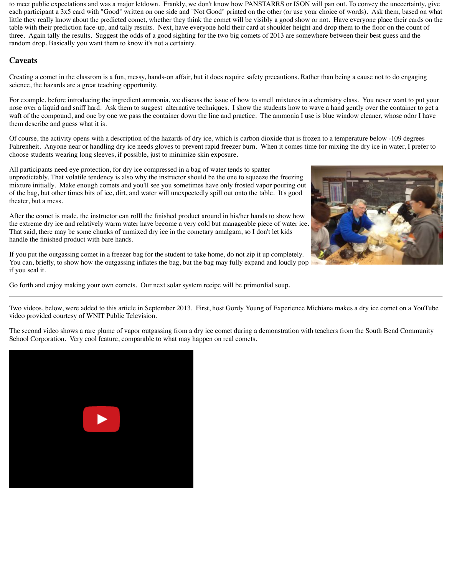to meet public expectations and was a major letdown. Frankly, we don't know how PANSTARRS or ISON will pan out. To convey the unccertainty, give each participant a 3x5 card with "Good" written on one side and "Not Good" printed on the other (or use your choice of words). Ask them, based on what little they really know about the predicted comet, whether they think the comet will be visibly a good show or not. Have everyone place their cards on the table with their prediction face-up, and tally results. Next, have everyone hold their card at shoulder height and drop them to the floor on the count of three. Again tally the results. Suggest the odds of a good sighting for the two big comets of 2013 are somewhere between their best guess and the random drop. Basically you want them to know it's not a certainty.

# **Caveats**

Creating a comet in the classrom is a fun, messy, hands-on affair, but it does require safety precautions. Rather than being a cause not to do engaging science, the hazards are a great teaching opportunity.

For example, before introducing the ingredient ammonia, we discuss the issue of how to smell mixtures in a chemistry class. You never want to put your nose over a liquid and sniff hard. Ask them to suggest alternative techniques. I show the students how to wave a hand gently over the container to get a waft of the compound, and one by one we pass the container down the line and practice. The ammonia I use is blue window cleaner, whose odor I have them describe and guess what it is.

Of course, the activity opens with a description of the hazards of dry ice, which is carbon dioxide that is frozen to a temperature below -109 degrees Fahrenheit. Anyone near or handling dry ice needs gloves to prevent rapid freezer burn. When it comes time for mixing the dry ice in water, I prefer to choose students wearing long sleeves, if possible, just to minimize skin exposure.

All participants need eye protection, for dry ice compressed in a bag of water tends to spatter unpredictably. That volatile tendency is also why the instructor should be the one to squeeze the freezing mixture initially. Make enough comets and you'll see you sometimes have only frosted vapor pouring out of the bag, but other times bits of ice, dirt, and water will unexpectedly spill out onto the table. It's good theater, but a mess.

After the comet is made, the instructor can rolll the finished product around in his/her hands to show how the extreme dry ice and relatively warm water have become a very cold but manageable piece of water ice. That said, there may be some chunks of unmixed dry ice in the cometary amalgam, so I don't let kids handle the finished product with bare hands.

If you put the outgassing comet in a freezer bag for the student to take home, do not zip it up completely. You can, briefly, to show how the outgassing inflates the bag, but the bag may fully expand and loudly pop if you seal it.

Go forth and enjoy making your own comets. Our next solar system recipe will be primordial soup.

Two videos, below, were added to this article in September 2013. First, host Gordy Young of Experience Michiana makes a dry ice comet on a YouTube video provided courtesy of WNIT Public Television.

The second video shows a rare plume of vapor outgassing from a dry ice comet during a demonstration with teachers from the South Bend Community School Corporation. Very cool feature, comparable to what may happen on real comets.